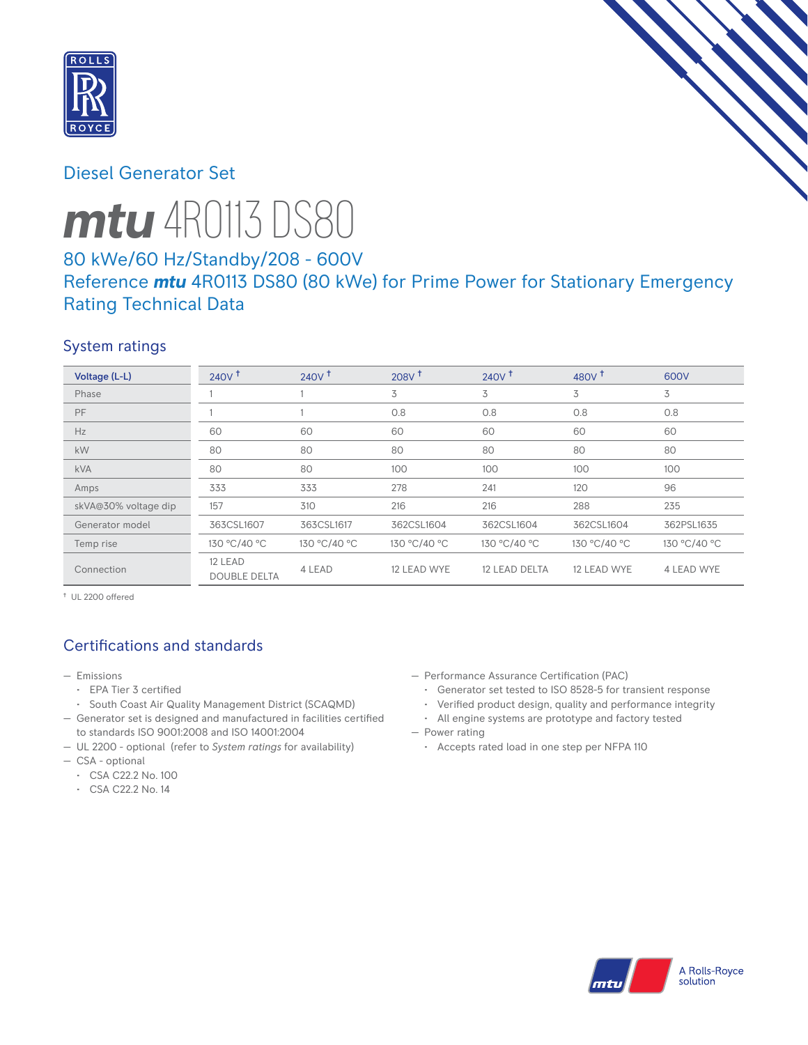

# Diesel Generator Set

# *mtu* 4R0113 DS80

# 80 kWe/60 Hz/Standby/208 - 600V Reference *mtu* 4R0113 DS80 (80 kWe) for Prime Power for Stationary Emergency Rating Technical Data

## System ratings

| Voltage (L-L)        | 240V <sup>†</sup>              | 240V <sup>†</sup> | $208V$ <sup>+</sup> | $240V$ <sup>+</sup> | 480V <sup>+</sup> | 600V         |
|----------------------|--------------------------------|-------------------|---------------------|---------------------|-------------------|--------------|
| Phase                |                                |                   | 3                   | 3                   | 3                 | 3            |
| PF                   |                                |                   | 0.8                 | 0.8                 | 0.8               | 0.8          |
| Hz                   | 60                             | 60                | 60                  | 60                  | 60                | 60           |
| kW                   | 80                             | 80                | 80                  | 80                  | 80                | 80           |
| <b>kVA</b>           | 80                             | 80                | 100                 | 100                 | 100               | 100          |
| Amps                 | 333                            | 333               | 278                 | 241                 | 120               | 96           |
| skVA@30% voltage dip | 157                            | 310               | 216                 | 216                 | 288               | 235          |
| Generator model      | 363CSL1607                     | 363CSL1617        | 362CSL1604          | 362CSL1604          | 362CSL1604        | 362PSL1635   |
| Temp rise            | 130 °C/40 °C                   | 130 °C/40 °C      | 130 °C/40 °C        | 130 °C/40 °C        | 130 °C/40 °C      | 130 °C/40 °C |
| Connection           | 12 LEAD<br><b>DOUBLE DELTA</b> | 4 LEAD            | 12 LEAD WYE         | 12 LEAD DELTA       | 12 LEAD WYE       | 4 LEAD WYE   |

† UL 2200 offered

# Certifications and standards

- Emissions
	- EPA Tier 3 certified
	- South Coast Air Quality Management District (SCAQMD)
- Generator set is designed and manufactured in facilities certified to standards ISO 9001:2008 and ISO 14001:2004
- UL 2200 optional (refer to *System ratings* for availability)
- CSA optional
	- CSA C22.2 No. 100
	- CSA C22.2 No. 14
- Performance Assurance Certification (PAC)
	- Generator set tested to ISO 8528-5 for transient response
	- Verified product design, quality and performance integrity
- All engine systems are prototype and factory tested — Power rating
	- Accepts rated load in one step per NFPA 110

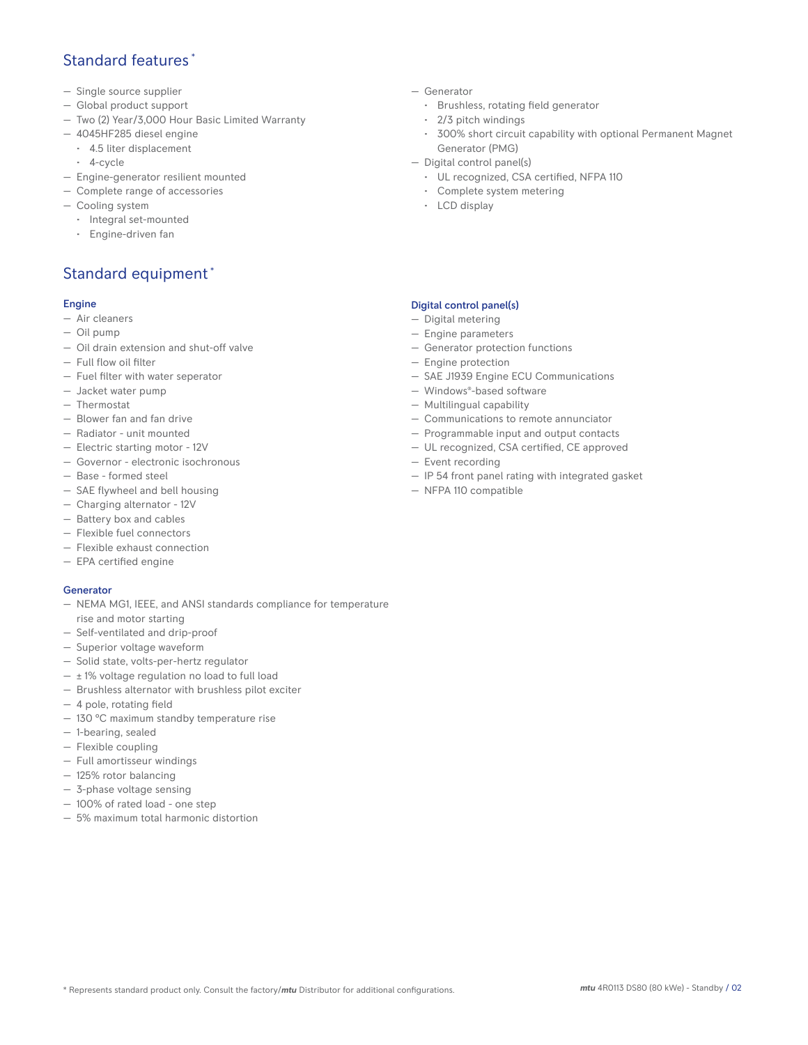## Standard features \*

- Single source supplier
- Global product support
- Two (2) Year/3,000 Hour Basic Limited Warranty
- 4045HF285 diesel engine
	- 4.5 liter displacement
	- 4-cycle
- Engine-generator resilient mounted
- Complete range of accessories
- Cooling system
	- Integral set-mounted
	- Engine-driven fan

# Standard equipment \*

### Engine

- Air cleaners
- Oil pump
- Oil drain extension and shut-off valve
- Full flow oil filter
- Fuel filter with water seperator
- Jacket water pump
- Thermostat
- Blower fan and fan drive
- Radiator unit mounted
- Electric starting motor 12V
- Governor electronic isochronous
- Base formed steel
- SAE flywheel and bell housing
- Charging alternator 12V
- Battery box and cables
- Flexible fuel connectors
- Flexible exhaust connection
- EPA certified engine

### Generator

- NEMA MG1, IEEE, and ANSI standards compliance for temperature rise and motor starting
- Self-ventilated and drip-proof
- Superior voltage waveform
- Solid state, volts-per-hertz regulator
- $\pm$  1% voltage regulation no load to full load
- Brushless alternator with brushless pilot exciter
- 4 pole, rotating field
- 130 °C maximum standby temperature rise
- 1-bearing, sealed
- Flexible coupling
- Full amortisseur windings
- 125% rotor balancing
- 3-phase voltage sensing
- 100% of rated load one step
- 5% maximum total harmonic distortion
- Generator
	- Brushless, rotating field generator
	- 2/3 pitch windings
	- 300% short circuit capability with optional Permanent Magnet Generator (PMG)
- Digital control panel(s)
	- UL recognized, CSA certified, NFPA 110
	- Complete system metering
	- LCD display

## Digital control panel(s)

- Digital metering
- Engine parameters
- Generator protection functions
- Engine protection
- SAE J1939 Engine ECU Communications
- Windows®-based software
- Multilingual capability
- Communications to remote annunciator
- Programmable input and output contacts
- UL recognized, CSA certified, CE approved
- Event recording
- IP 54 front panel rating with integrated gasket
- NFPA 110 compatible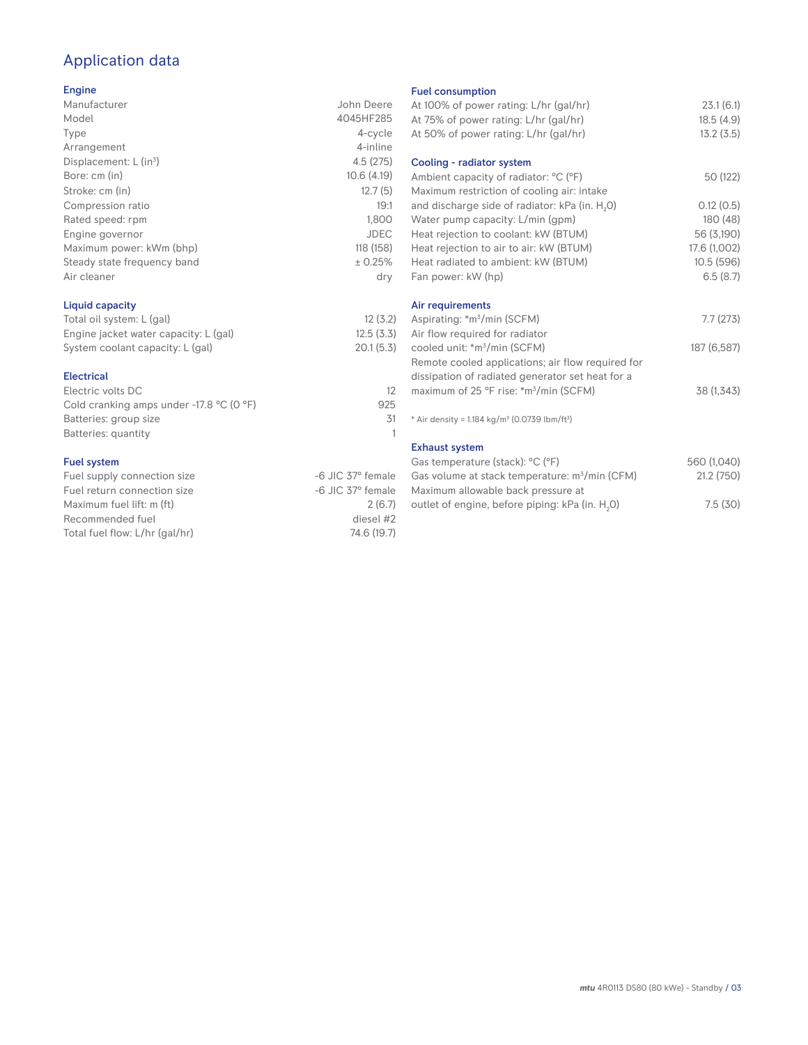# Application data

## Engine

| Manufacturer                | John Deere  |
|-----------------------------|-------------|
| Model                       | 4045HF285   |
| Type                        | 4-cycle     |
| Arrangement                 | 4-inline    |
| Displacement: $L (in3)$     | 4.5(275)    |
| Bore: cm (in)               | 10.6(4.19)  |
| Stroke: cm (in)             | 12.7(5)     |
| Compression ratio           | 19:1        |
| Rated speed: rpm            | 1.800       |
| Engine governor             | <b>JDEC</b> |
| Maximum power: kWm (bhp)    | 118 (158)   |
| Steady state frequency band | ± 0.25%     |
| Air cleaner                 | dry         |
|                             |             |

## Liquid capacity

| Total oil system: L (gal)             | 12(3.2)   |
|---------------------------------------|-----------|
| Engine jacket water capacity: L (gal) | 12.5(3.3) |
| System coolant capacity: L (gal)      | 20.1(5.3) |

## Electrical

| Electric volts DC                                            |     |
|--------------------------------------------------------------|-----|
| Cold cranking amps under -17.8 $^{\circ}$ C (O $^{\circ}$ F) | 925 |
| Batteries: group size                                        | 31  |
| Batteries: quantity                                          |     |
|                                                              |     |

## Fuel system

| Fuel supply connection size    | -6 JIC 37° female |
|--------------------------------|-------------------|
| Fuel return connection size    | -6 JIC 37° female |
| Maximum fuel lift: m (ft)      | 2(6.7)            |
| Recommended fuel               | diesel #2         |
| Total fuel flow: L/hr (gal/hr) | 74.6 (19.7)       |
|                                |                   |

#### Fuel consumption

| At 100% of power rating: L/hr (gal/hr)                                                           | 23.1(6.1)    |
|--------------------------------------------------------------------------------------------------|--------------|
| At 75% of power rating: L/hr (gal/hr)                                                            | 18.5(4.9)    |
| At 50% of power rating: L/hr (gal/hr)                                                            | 13.2(3.5)    |
| Cooling - radiator system                                                                        |              |
| Ambient capacity of radiator: °C (°F)<br>Maximum restriction of cooling air: intake              | 50 (122)     |
| and discharge side of radiator: kPa (in. H <sub>2</sub> O)                                       | 0.12(0.5)    |
| Water pump capacity: L/min (gpm)                                                                 | 180 (48)     |
| Heat rejection to coolant: kW (BTUM)                                                             | 56 (3,190)   |
| Heat rejection to air to air: kW (BTUM)                                                          | 17.6 (1,002) |
| Heat radiated to ambient: kW (BTUM)                                                              | 10.5(596)    |
| Fan power: kW (hp)                                                                               | 6.5(8.7)     |
| Air requirements                                                                                 |              |
| Aspirating: *m <sup>3</sup> /min (SCFM)                                                          | 7.7(273)     |
| Air flow required for radiator                                                                   |              |
| cooled unit: *m <sup>3</sup> /min (SCFM)                                                         | 187 (6,587)  |
| Remote cooled applications; air flow required for                                                |              |
| dissipation of radiated generator set heat for a                                                 |              |
| maximum of 25 °F rise: *m <sup>3</sup> /min (SCFM)                                               | 38 (1,343)   |
| * Air density = $1.184 \text{ kg/m}^3$ (0.0739 lbm/ft <sup>3</sup> )                             |              |
| <b>Exhaust system</b>                                                                            |              |
| Gas temperature (stack): °C (°F)                                                                 | 560 (1,040)  |
| Gas volume at stack temperature: m <sup>3</sup> /min (CFM)<br>Maximum allowable back pressure at | 21.2 (750)   |
| outlet of engine, before piping: kPa (in. H <sub>2</sub> 0)                                      | 7.5(30)      |